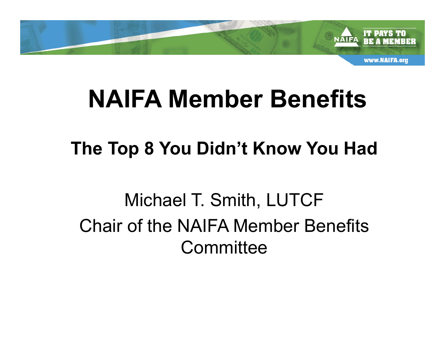

#### **The Top 8 You Didn't Know You Had**

Michael T. Smith, LUTCF Chair of the NAIFA Member Benefits **Committee**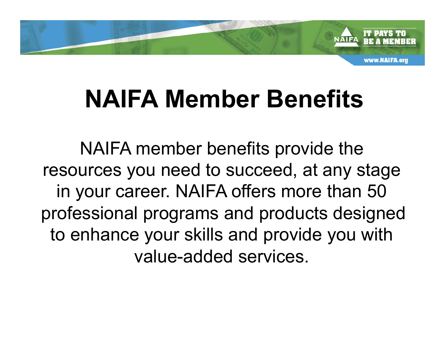

NAIFA member benefits provide the resources you need to succeed, at any stage in your career. NAIFA offers more than 50 professional programs and products designed to enhance your skills and provide you with value-added services.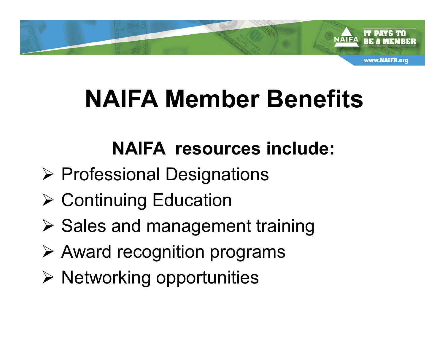

#### **NAIFA resources include:**

- **≻ Professional Designations**
- $\triangleright$  Continuing Education
- $\triangleright$  Sales and management training
- $\triangleright$  Award recognition programs
- $\triangleright$  Networking opportunities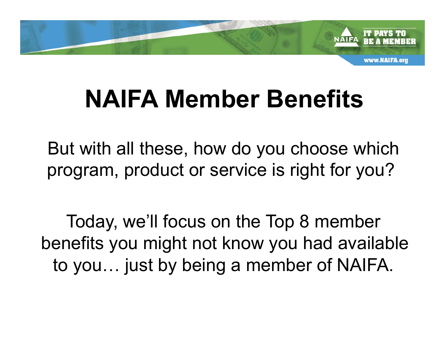

But with all these, how do you choose which program, product or service is right for you?

Today, we'll focus on the Top 8 member benefits you might not know you had available to you… just by being a member of NAIFA.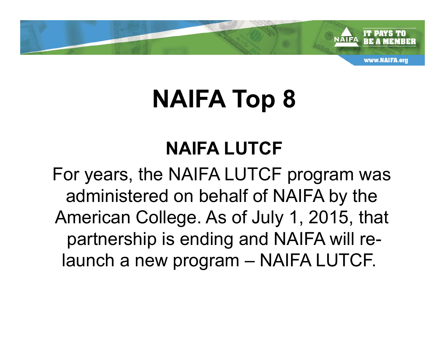

### **NAIFA LUTCF**

For years, the NAIFA LUTCF program was administered on behalf of NAIFA by the American College. As of July 1, 2015, that partnership is ending and NAIFA will relaunch a new program – NAIFA LUTCF.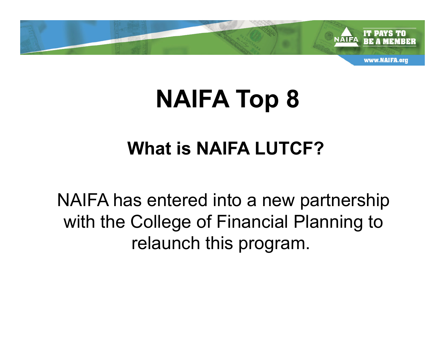

#### **What is NAIFA LUTCF?**

NAIFA has entered into a new partnership with the College of Financial Planning to relaunch this program.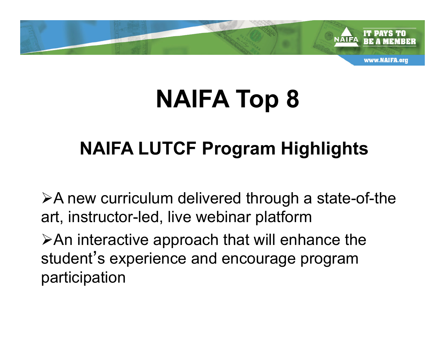

#### **NAIFA LUTCF Program Highlights**

 $\triangleright$ A new curriculum delivered through a state-of-the art, instructor-led, live webinar platform

 $\triangleright$ An interactive approach that will enhance the student's experience and encourage program participation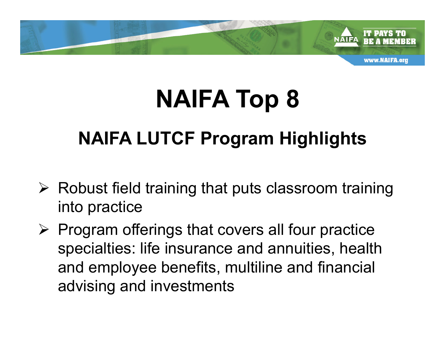

#### **NAIFA LUTCF Program Highlights**

- $\triangleright$  Robust field training that puts classroom training into practice
- $\triangleright$  Program offerings that covers all four practice specialties: life insurance and annuities, health and employee benefits, multiline and financial advising and investments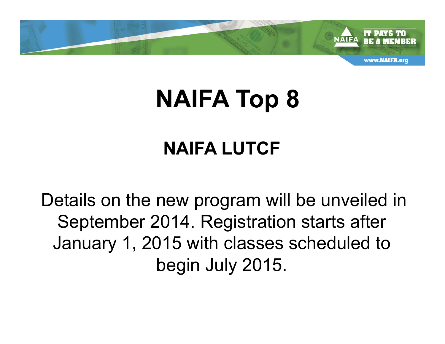

### **NAIFA LUTCF**

Details on the new program will be unveiled in September 2014. Registration starts after January 1, 2015 with classes scheduled to begin July 2015.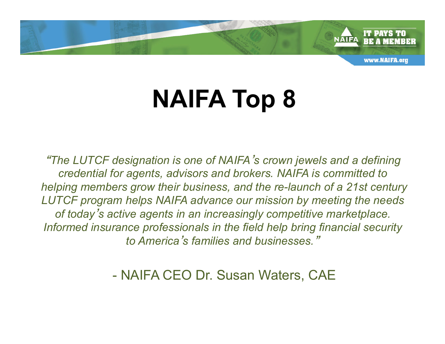

"*The LUTCF designation is one of NAIFA*'*s crown jewels and a defining credential for agents, advisors and brokers. NAIFA is committed to helping members grow their business, and the re-launch of a 21st century LUTCF program helps NAIFA advance our mission by meeting the needs of today*'*s active agents in an increasingly competitive marketplace. Informed insurance professionals in the field help bring financial security to America*'*s families and businesses.*"

- NAIFA CEO Dr. Susan Waters, CAE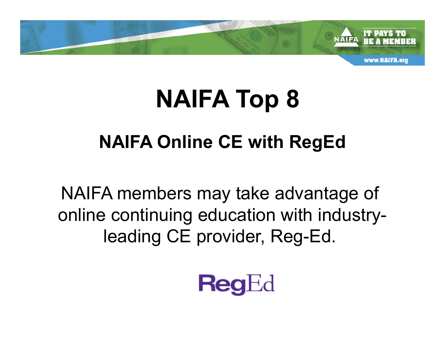

#### **NAIFA Online CE with RegEd**

NAIFA members may take advantage of online continuing education with industryleading CE provider, Reg-Ed.

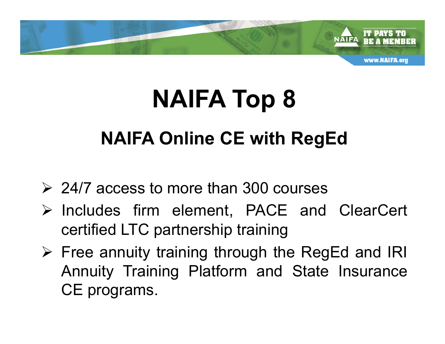

## **NAIFA Online CE with RegEd NAIFA Top 8**

- $\geq$  24/7 access to more than 300 courses
- Ø Includes firm element, PACE and ClearCert certified LTC partnership training
- $\triangleright$  Free annuity training through the RegEd and IRI Annuity Training Platform and State Insurance CE programs.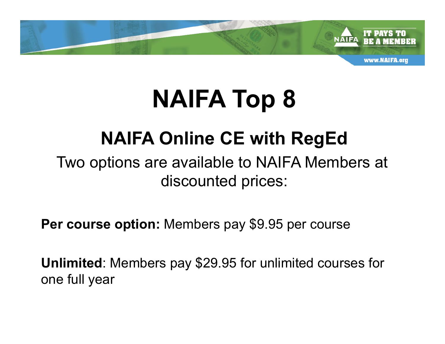

#### **NAIFA Online CE with RegEd**

#### Two options are available to NAIFA Members at discounted prices:

**Per course option:** Members pay \$9.95 per course

**Unlimited**: Members pay \$29.95 for unlimited courses for one full year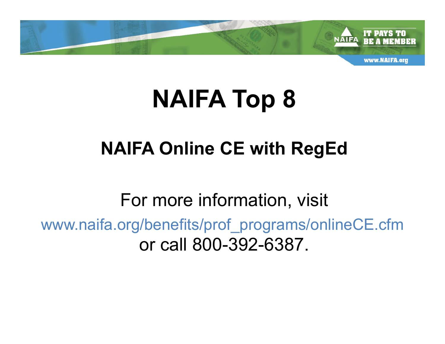

#### **NAIFA Online CE with RegEd**

For more information, visit www.naifa.org/benefits/prof\_programs/onlineCE.cfm or call 800-392-6387.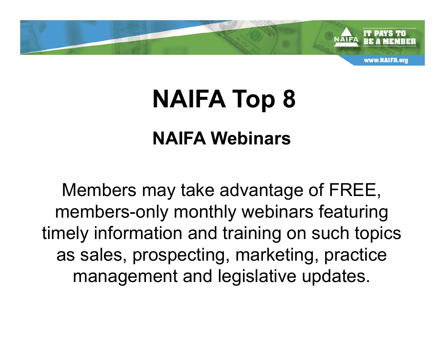

#### **NAIFA Webinars**

Members may take advantage of FREE, members-only monthly webinars featuring timely information and training on such topics as sales, prospecting, marketing, practice management and legislative updates.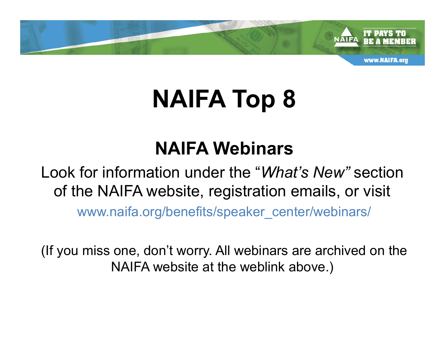

#### **NAIFA Webinars**

#### Look for information under the "*What's New"* section of the NAIFA website, registration emails, or visit

www.naifa.org/benefits/speaker\_center/webinars/

(If you miss one, don't worry. All webinars are archived on the NAIFA website at the weblink above.)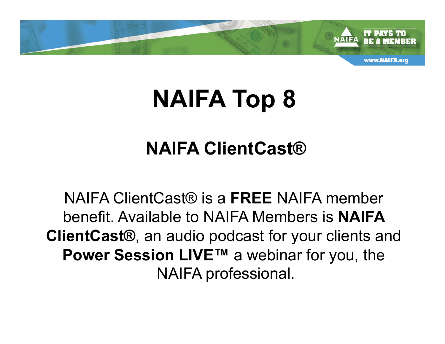

#### **NAIFA ClientCast®**

NAIFA ClientCast® is a **FREE** NAIFA member benefit. Available to NAIFA Members is **NAIFA ClientCast®**, an audio podcast for your clients and **Power Session LIVE™** a webinar for you, the NAIFA professional.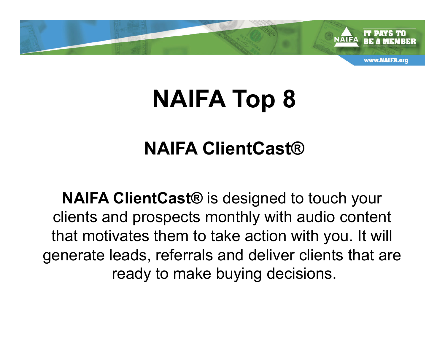

#### **NAIFA ClientCast®**

**NAIFA ClientCast®** is designed to touch your clients and prospects monthly with audio content that motivates them to take action with you. It will generate leads, referrals and deliver clients that are ready to make buying decisions.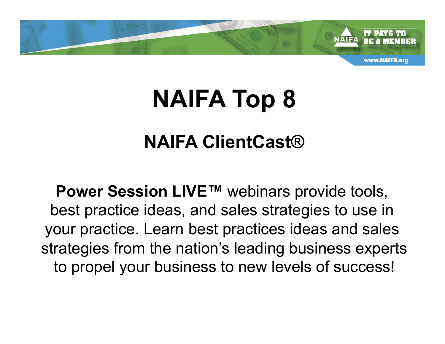

#### **NAIFA ClientCast®**

**Power Session LIVE™** webinars provide tools, best practice ideas, and sales strategies to use in your practice. Learn best practices ideas and sales strategies from the nation's leading business experts to propel your business to new levels of success!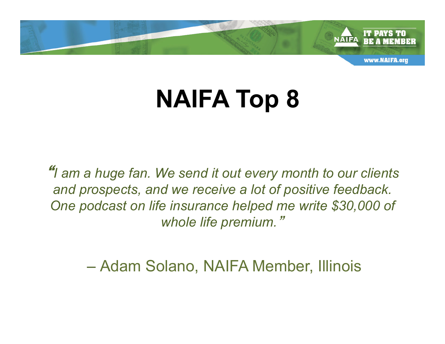

"*I am a huge fan. We send it out every month to our clients and prospects, and we receive a lot of positive feedback. One podcast on life insurance helped me write \$30,000 of whole life premium.*"

*–* Adam Solano, NAIFA Member, Illinois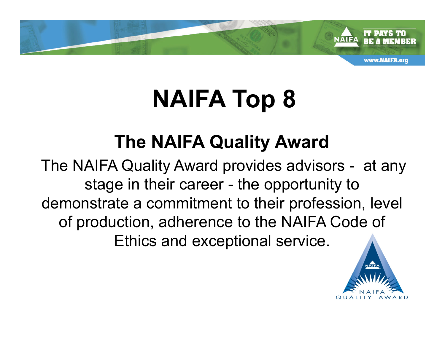

#### **The NAIFA Quality Award**

The NAIFA Quality Award provides advisors - at any stage in their career - the opportunity to demonstrate a commitment to their profession, level of production, adherence to the NAIFA Code of Ethics and exceptional service.

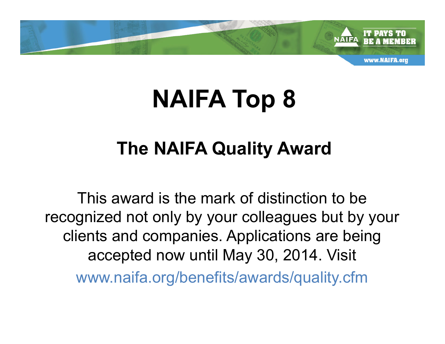

#### **The NAIFA Quality Award**

This award is the mark of distinction to be recognized not only by your colleagues but by your clients and companies. Applications are being accepted now until May 30, 2014. Visit www.naifa.org/benefits/awards/quality.cfm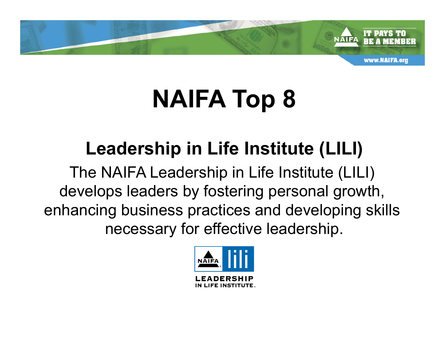

#### **Leadership in Life Institute (LILI)**

The NAIFA Leadership in Life Institute (LILI) develops leaders by fostering personal growth, enhancing business practices and developing skills necessary for effective leadership.

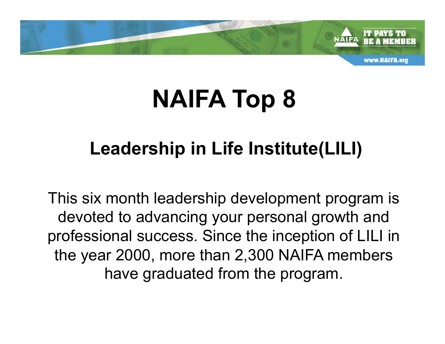

#### **Leadership in Life Institute(LILI)**

This six month leadership development program is devoted to advancing your personal growth and professional success. Since the inception of LILI in the year 2000, more than 2,300 NAIFA members have graduated from the program.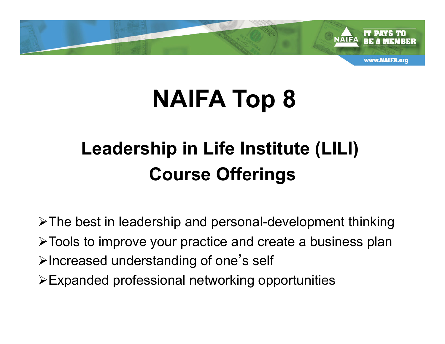

### **Leadership in Life Institute (LILI) Course Offerings**

 $\triangleright$ The best in leadership and personal-development thinking ØTools to improve your practice and create a business plan  $\triangleright$  Increased understanding of one's self  $\triangleright$  Expanded professional networking opportunities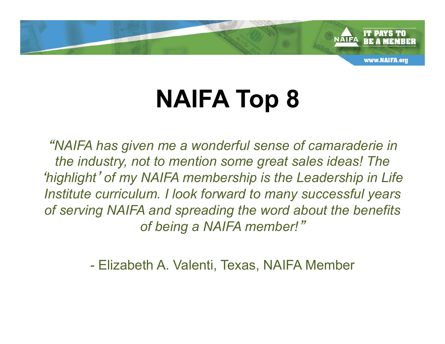

"*NAIFA has given me a wonderful sense of camaraderie in the industry, not to mention some great sales ideas! The*  '*highlight*' *of my NAIFA membership is the Leadership in Life Institute curriculum. I look forward to many successful years of serving NAIFA and spreading the word about the benefits of being a NAIFA member!*"

*-* Elizabeth A. Valenti, Texas, NAIFA Member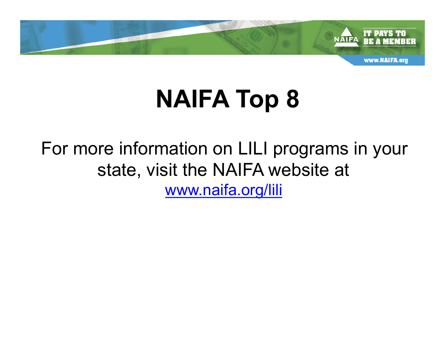

For more information on LILI programs in your state, visit the NAIFA website at www.naifa.org/lili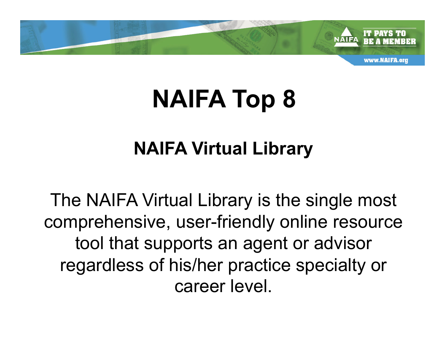

#### **NAIFA Virtual Library**

The NAIFA Virtual Library is the single most comprehensive, user-friendly online resource tool that supports an agent or advisor regardless of his/her practice specialty or career level.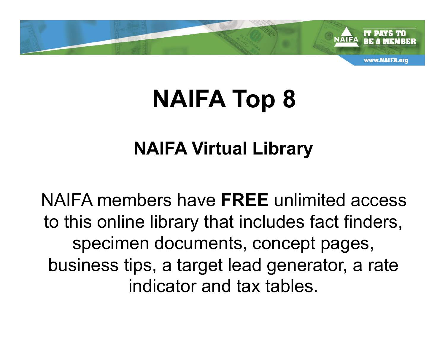

#### **NAIFA Virtual Library**

NAIFA members have **FREE** unlimited access to this online library that includes fact finders, specimen documents, concept pages, business tips, a target lead generator, a rate indicator and tax tables.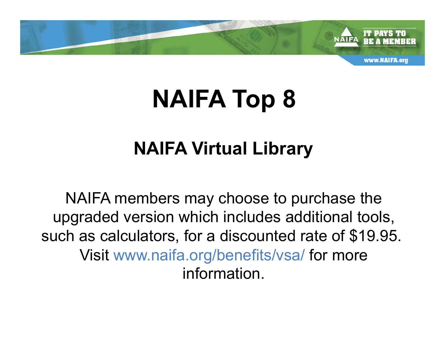

#### **NAIFA Virtual Library**

NAIFA members may choose to purchase the upgraded version which includes additional tools, such as calculators, for a discounted rate of \$19.95. Visit www.naifa.org/benefits/vsa/ for more information.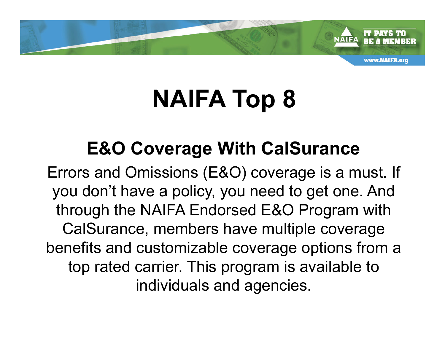

#### **E&O Coverage With CalSurance**

Errors and Omissions (E&O) coverage is a must. If you don't have a policy, you need to get one. And through the NAIFA Endorsed E&O Program with CalSurance, members have multiple coverage benefits and customizable coverage options from a top rated carrier. This program is available to individuals and agencies.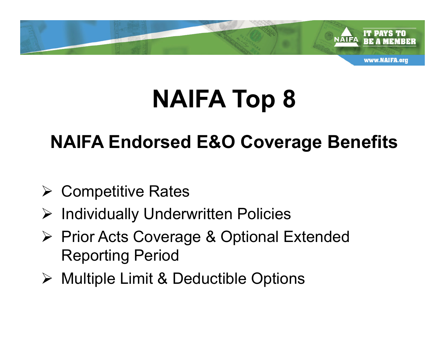

#### **NAIFA Endorsed E&O Coverage Benefits**

- $\triangleright$  Competitive Rates
- Ø Individually Underwritten Policies
- Ø Prior Acts Coverage & Optional Extended Reporting Period
- Ø Multiple Limit & Deductible Options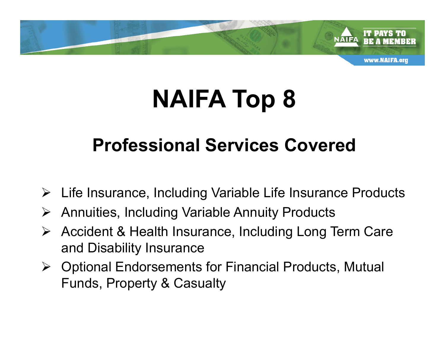

#### **Professional Services Covered**

- $\triangleright$  Life Insurance, Including Variable Life Insurance Products
- Ø Annuities, Including Variable Annuity Products
- $\triangleright$  Accident & Health Insurance, Including Long Term Care and Disability Insurance
- $\triangleright$  Optional Endorsements for Financial Products, Mutual Funds, Property & Casualty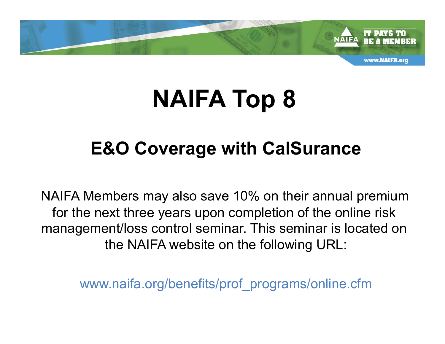

#### **E&O Coverage with CalSurance**

NAIFA Members may also save 10% on their annual premium for the next three years upon completion of the online risk management/loss control seminar. This seminar is located on the NAIFA website on the following URL:

www.naifa.org/benefits/prof\_programs/online.cfm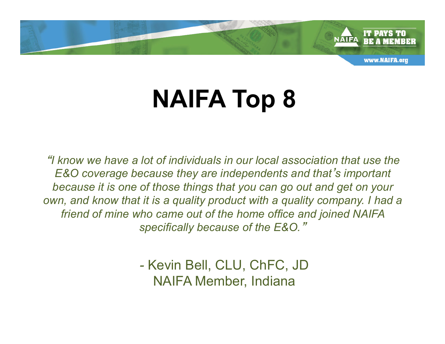

"*I know we have a lot of individuals in our local association that use the E&O coverage because they are independents and that*'*s important because it is one of those things that you can go out and get on your own, and know that it is a quality product with a quality company. I had a friend of mine who came out of the home office and joined NAIFA specifically because of the E&O.*"

> *-* Kevin Bell, CLU, ChFC, JD NAIFA Member, Indiana